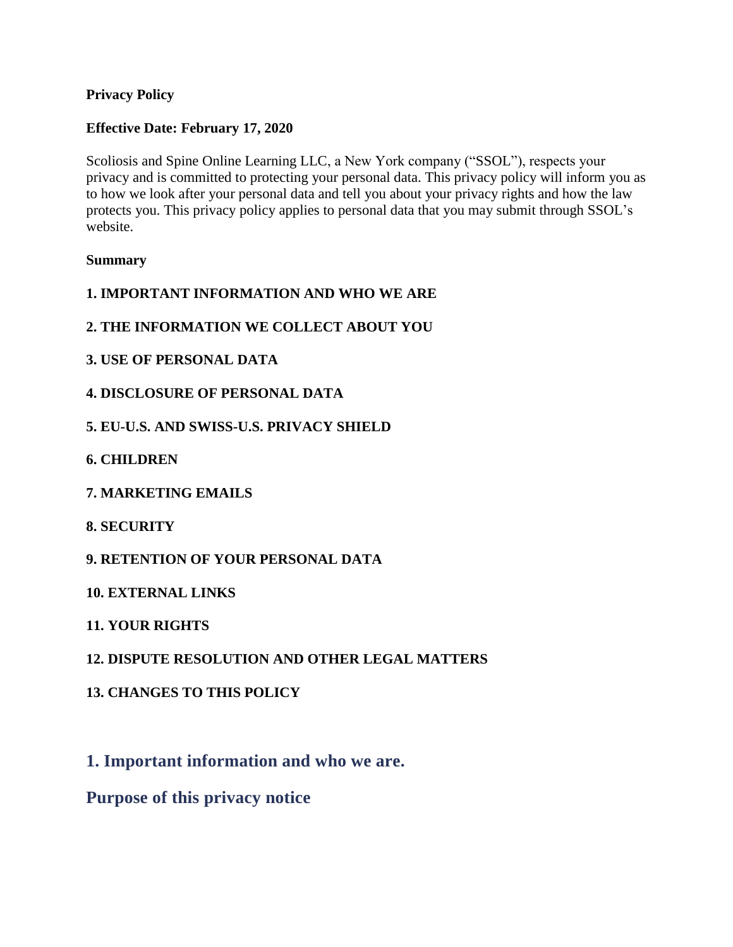#### **Privacy Policy**

#### **Effective Date: February 17, 2020**

Scoliosis and Spine Online Learning LLC, a New York company ("SSOL"), respects your privacy and is committed to protecting your personal data. This privacy policy will inform you as to how we look after your personal data and tell you about your privacy rights and how the law protects you. This privacy policy applies to personal data that you may submit through SSOL's website.

#### **Summary**

### **1. IMPORTANT INFORMATION AND WHO WE ARE**

- **2. THE INFORMATION WE COLLECT ABOUT YOU**
- **3. USE OF PERSONAL DATA**

#### **4. DISCLOSURE OF PERSONAL DATA**

#### **5. EU-U.S. AND SWISS-U.S. PRIVACY SHIELD**

- **6. CHILDREN**
- **7. MARKETING EMAILS**
- **8. SECURITY**

### **9. RETENTION OF YOUR PERSONAL DATA**

### **10. EXTERNAL LINKS**

### **11. YOUR RIGHTS**

### **12. DISPUTE RESOLUTION AND OTHER LEGAL MATTERS**

### **13. CHANGES TO THIS POLICY**

### **1. Important information and who we are.**

### **Purpose of this privacy notice**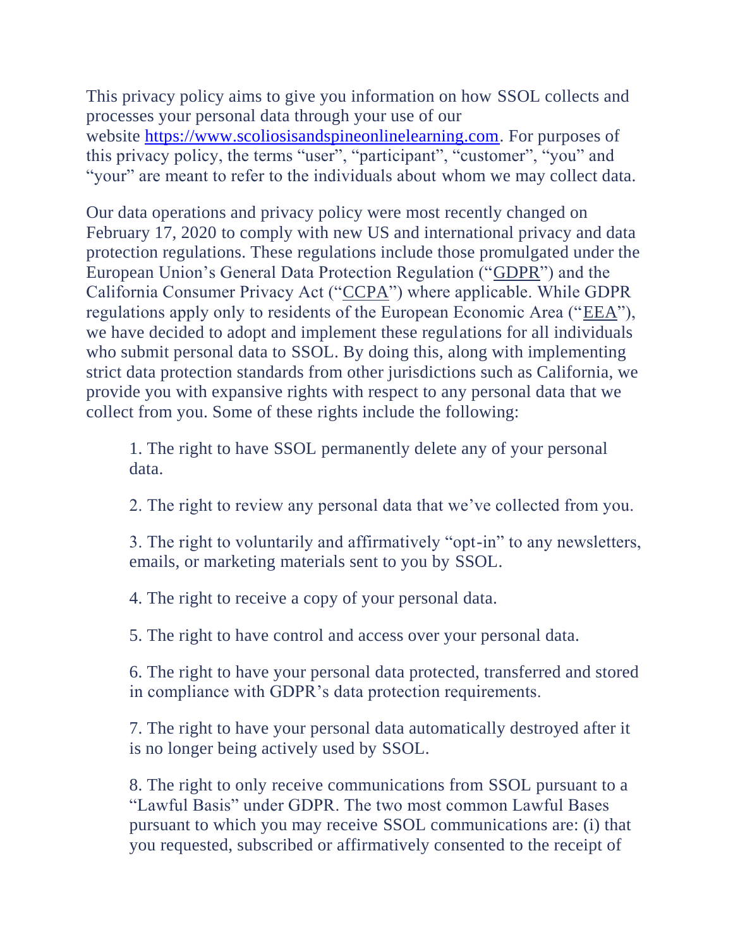This privacy policy aims to give you information on how SSOL collects and processes your personal data through your use of our website [https://www.scoliosisandspineonlinelearning.com.](https://www.scoliosisandspineonlinelearning.com/) For purposes of this privacy policy, the terms "user", "participant", "customer", "you" and "your" are meant to refer to the individuals about whom we may collect data.

Our data operations and privacy policy were most recently changed on February 17, 2020 to comply with new US and international privacy and data protection regulations. These regulations include those promulgated under the European Union's General Data Protection Regulation ("GDPR") and the California Consumer Privacy Act ("CCPA") where applicable. While GDPR regulations apply only to residents of the European Economic Area ("EEA"), we have decided to adopt and implement these regulations for all individuals who submit personal data to SSOL. By doing this, along with implementing strict data protection standards from other jurisdictions such as California, we provide you with expansive rights with respect to any personal data that we collect from you. Some of these rights include the following:

1. The right to have SSOL permanently delete any of your personal data.

2. The right to review any personal data that we've collected from you.

3. The right to voluntarily and affirmatively "opt-in" to any newsletters, emails, or marketing materials sent to you by SSOL.

4. The right to receive a copy of your personal data.

5. The right to have control and access over your personal data.

6. The right to have your personal data protected, transferred and stored in compliance with GDPR's data protection requirements.

7. The right to have your personal data automatically destroyed after it is no longer being actively used by SSOL.

8. The right to only receive communications from SSOL pursuant to a "Lawful Basis" under GDPR. The two most common Lawful Bases pursuant to which you may receive SSOL communications are: (i) that you requested, subscribed or affirmatively consented to the receipt of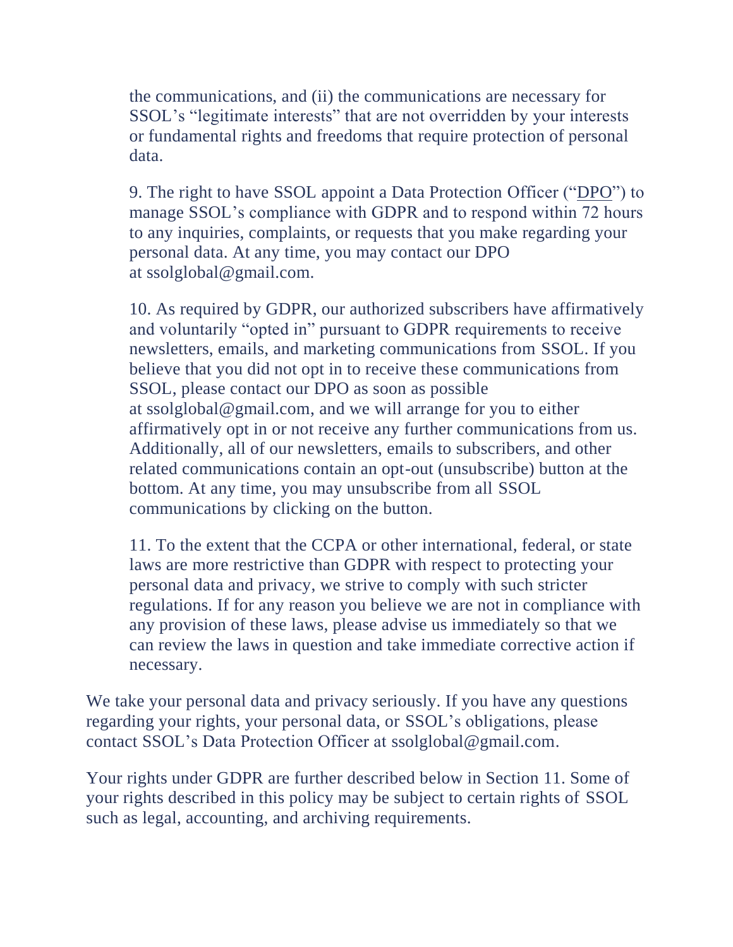the communications, and (ii) the communications are necessary for SSOL's "legitimate interests" that are not overridden by your interests or fundamental rights and freedoms that require protection of personal data.

9. The right to have SSOL appoint a Data Protection Officer ("DPO") to manage SSOL's compliance with GDPR and to respond within 72 hours to any inquiries, complaints, or requests that you make regarding your personal data. At any time, you may contact our DPO at ssolglobal@gmail.com.

10. As required by GDPR, our authorized subscribers have affirmatively and voluntarily "opted in" pursuant to GDPR requirements to receive newsletters, emails, and marketing communications from SSOL. If you believe that you did not opt in to receive these communications from SSOL, please contact our DPO as soon as possible at ssolglobal@gmail.com, and we will arrange for you to either affirmatively opt in or not receive any further communications from us. Additionally, all of our newsletters, emails to subscribers, and other related communications contain an opt-out (unsubscribe) button at the bottom. At any time, you may unsubscribe from all SSOL communications by clicking on the button.

11. To the extent that the CCPA or other international, federal, or state laws are more restrictive than GDPR with respect to protecting your personal data and privacy, we strive to comply with such stricter regulations. If for any reason you believe we are not in compliance with any provision of these laws, please advise us immediately so that we can review the laws in question and take immediate corrective action if necessary.

We take your personal data and privacy seriously. If you have any questions regarding your rights, your personal data, or SSOL's obligations, please contact SSOL's Data Protection Officer at ssolglobal@gmail.com.

Your rights under GDPR are further described below in Section 11. Some of your rights described in this policy may be subject to certain rights of SSOL such as legal, accounting, and archiving requirements.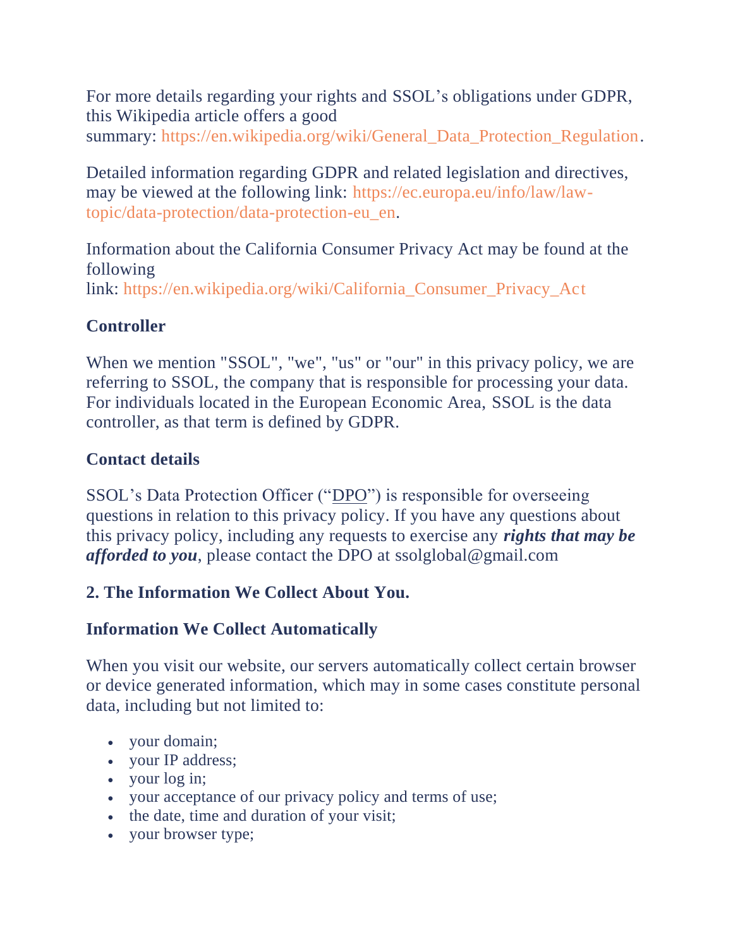For more details regarding your rights and SSOL's obligations under GDPR, this Wikipedia article offers a good summary: [https://en.wikipedia.org/wiki/General\\_Data\\_Protection\\_Regulation.](https://en.wikipedia.org/wiki/General_Data_Protection_Regulation)

Detailed information regarding GDPR and related legislation and directives, may be viewed at the following link: [https://ec.europa.eu/info/law/law](https://ec.europa.eu/info/law/law-topic/data-protection/data-protection-eu_en)[topic/data-protection/data-protection-eu\\_en.](https://ec.europa.eu/info/law/law-topic/data-protection/data-protection-eu_en)

Information about the California Consumer Privacy Act may be found at the following link: [https://en.wikipedia.org/wiki/California\\_Consumer\\_Privacy\\_Act](https://en.wikipedia.org/wiki/California_Consumer_Privacy_Act)

# **Controller**

When we mention "SSOL", "we", "us" or "our" in this privacy policy, we are referring to SSOL, the company that is responsible for processing your data. For individuals located in the European Economic Area, SSOL is the data controller, as that term is defined by GDPR.

## **Contact details**

SSOL's Data Protection Officer ("DPO") is responsible for overseeing questions in relation to this privacy policy. If you have any questions about this privacy policy, including any requests to exercise any *rights that may be afforded to you*, please contact the DPO at ssolglobal@gmail.com

# **2. The Information We Collect About You.**

# **Information We Collect Automatically**

When you visit our website, our servers automatically collect certain browser or device generated information, which may in some cases constitute personal data, including but not limited to:

- your domain;
- your IP address;
- your log in;
- your acceptance of our privacy policy and terms of use;
- the date, time and duration of your visit;
- your browser type;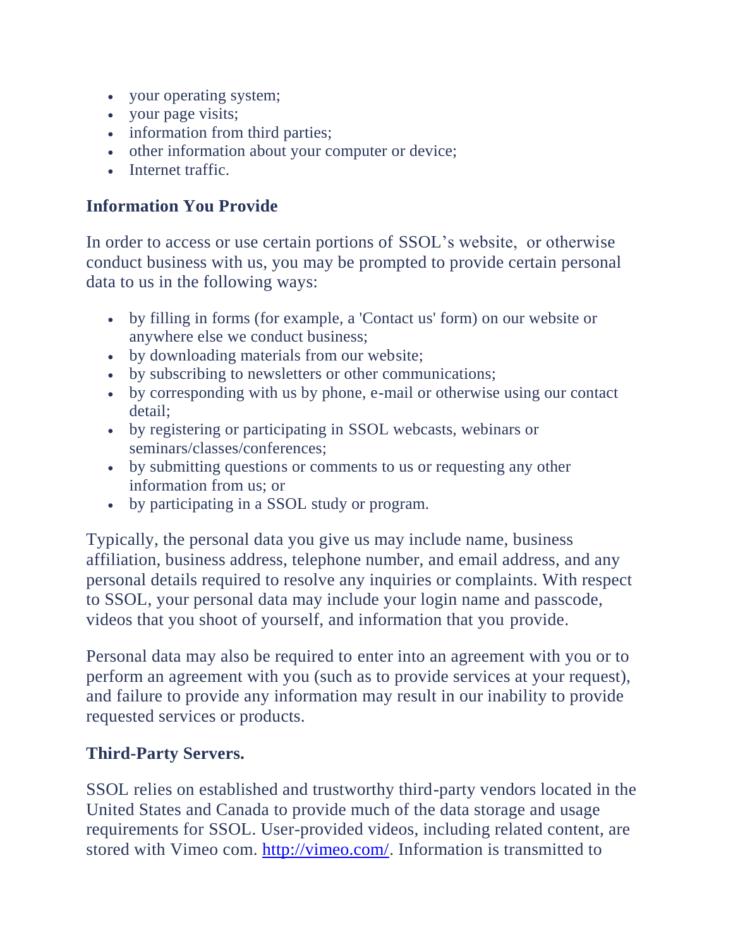- your operating system;
- your page visits;
- information from third parties;
- other information about your computer or device;
- Internet traffic.

## **Information You Provide**

In order to access or use certain portions of SSOL's website, or otherwise conduct business with us, you may be prompted to provide certain personal data to us in the following ways:

- by filling in forms (for example, a 'Contact us' form) on our website or anywhere else we conduct business;
- by downloading materials from our website;
- by subscribing to newsletters or other communications;
- by corresponding with us by phone, e-mail or otherwise using our contact detail;
- by registering or participating in SSOL webcasts, webinars or seminars/classes/conferences;
- by submitting questions or comments to us or requesting any other information from us; or
- by participating in a SSOL study or program.

Typically, the personal data you give us may include name, business affiliation, business address, telephone number, and email address, and any personal details required to resolve any inquiries or complaints. With respect to SSOL, your personal data may include your login name and passcode, videos that you shoot of yourself, and information that you provide.

Personal data may also be required to enter into an agreement with you or to perform an agreement with you (such as to provide services at your request), and failure to provide any information may result in our inability to provide requested services or products.

## **Third-Party Servers.**

SSOL relies on established and trustworthy third-party vendors located in the United States and Canada to provide much of the data storage and usage requirements for SSOL. User-provided videos, including related content, are stored with Vimeo com. [http://vimeo.com/.](http://vimeo.com/) Information is transmitted to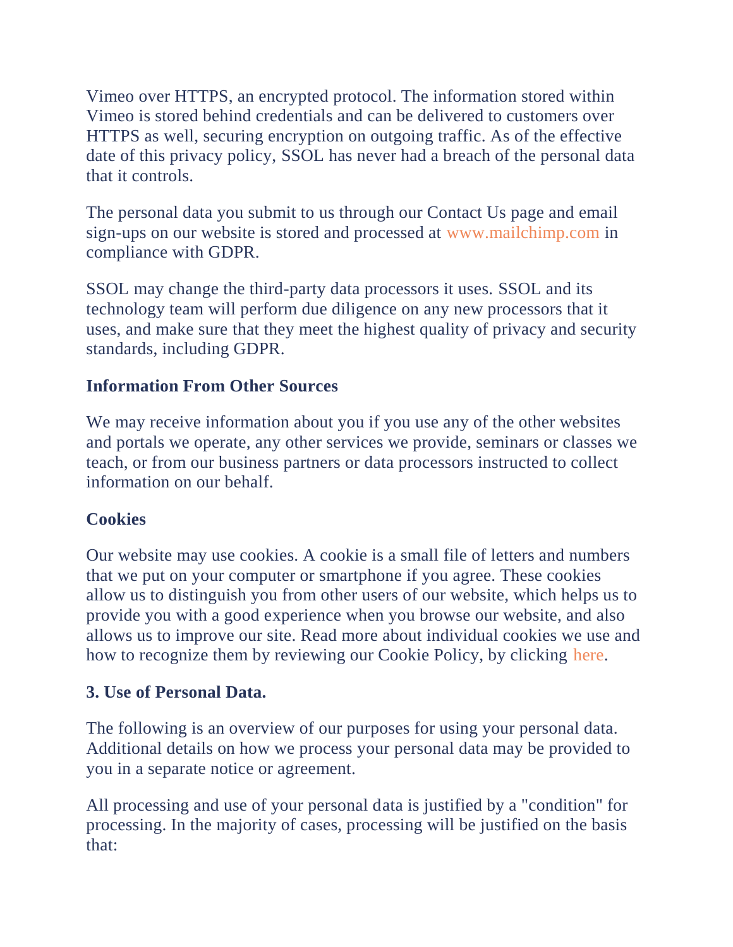Vimeo over HTTPS, an encrypted protocol. The information stored within Vimeo is stored behind credentials and can be delivered to customers over HTTPS as well, securing encryption on outgoing traffic. As of the effective date of this privacy policy, SSOL has never had a breach of the personal data that it controls.

The personal data you submit to us through our Contact Us page and email sign-ups on our website is stored and processed at [www.mailchimp.com](https://www.mentora.institute/www.mailchimp.com) in compliance with GDPR.

SSOL may change the third-party data processors it uses. SSOL and its technology team will perform due diligence on any new processors that it uses, and make sure that they meet the highest quality of privacy and security standards, including GDPR.

# **Information From Other Sources**

We may receive information about you if you use any of the other websites and portals we operate, any other services we provide, seminars or classes we teach, or from our business partners or data processors instructed to collect information on our behalf.

## **Cookies**

Our website may use cookies. A cookie is a small file of letters and numbers that we put on your computer or smartphone if you agree. These cookies allow us to distinguish you from other users of our website, which helps us to provide you with a good experience when you browse our website, and also allows us to improve our site. Read more about individual cookies we use and how to recognize them by reviewing our Cookie Policy, by clicking [here.](https://www.mentora.institute/cookie-policy)

## **3. Use of Personal Data.**

The following is an overview of our purposes for using your personal data. Additional details on how we process your personal data may be provided to you in a separate notice or agreement.

All processing and use of your personal data is justified by a "condition" for processing. In the majority of cases, processing will be justified on the basis that: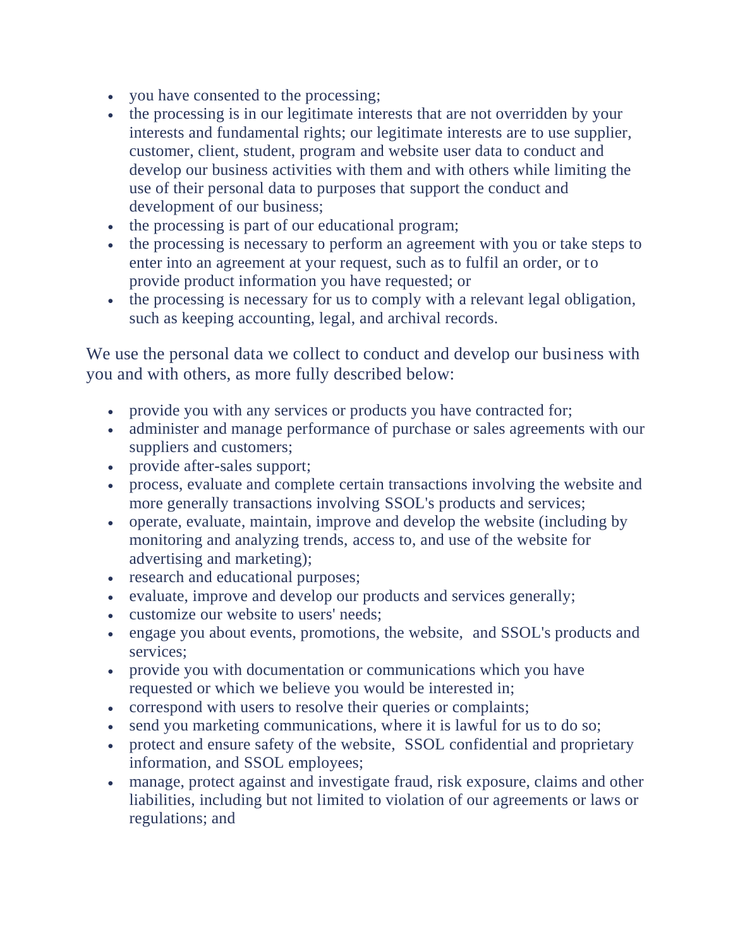- you have consented to the processing;
- the processing is in our legitimate interests that are not overridden by your interests and fundamental rights; our legitimate interests are to use supplier, customer, client, student, program and website user data to conduct and develop our business activities with them and with others while limiting the use of their personal data to purposes that support the conduct and development of our business;
- the processing is part of our educational program;
- the processing is necessary to perform an agreement with you or take steps to enter into an agreement at your request, such as to fulfil an order, or to provide product information you have requested; or
- the processing is necessary for us to comply with a relevant legal obligation, such as keeping accounting, legal, and archival records.

We use the personal data we collect to conduct and develop our business with you and with others, as more fully described below:

- provide you with any services or products you have contracted for;
- administer and manage performance of purchase or sales agreements with our suppliers and customers;
- provide after-sales support;
- process, evaluate and complete certain transactions involving the website and more generally transactions involving SSOL's products and services;
- operate, evaluate, maintain, improve and develop the website (including by monitoring and analyzing trends, access to, and use of the website for advertising and marketing);
- research and educational purposes;
- evaluate, improve and develop our products and services generally;
- customize our website to users' needs;
- engage you about events, promotions, the website, and SSOL's products and services;
- provide you with documentation or communications which you have requested or which we believe you would be interested in;
- correspond with users to resolve their queries or complaints;
- send you marketing communications, where it is lawful for us to do so;
- protect and ensure safety of the website, SSOL confidential and proprietary information, and SSOL employees;
- manage, protect against and investigate fraud, risk exposure, claims and other liabilities, including but not limited to violation of our agreements or laws or regulations; and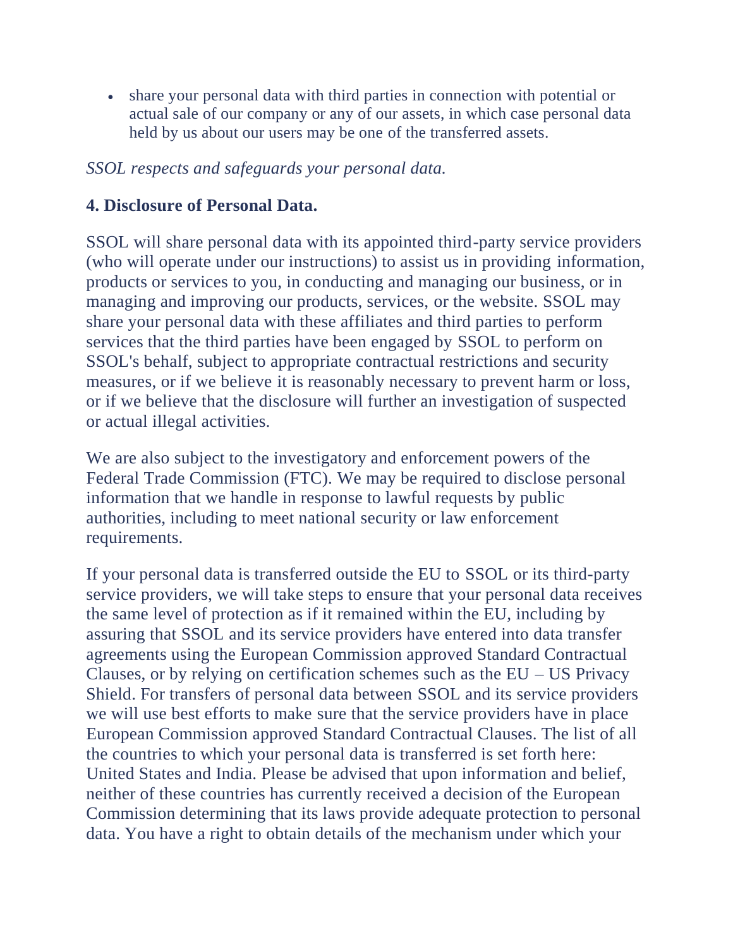share your personal data with third parties in connection with potential or actual sale of our company or any of our assets, in which case personal data held by us about our users may be one of the transferred assets.

### *SSOL respects and safeguards your personal data.*

### **4. Disclosure of Personal Data.**

SSOL will share personal data with its appointed third-party service providers (who will operate under our instructions) to assist us in providing information, products or services to you, in conducting and managing our business, or in managing and improving our products, services, or the website. SSOL may share your personal data with these affiliates and third parties to perform services that the third parties have been engaged by SSOL to perform on SSOL's behalf, subject to appropriate contractual restrictions and security measures, or if we believe it is reasonably necessary to prevent harm or loss, or if we believe that the disclosure will further an investigation of suspected or actual illegal activities.

We are also subject to the investigatory and enforcement powers of the Federal Trade Commission (FTC). We may be required to disclose personal information that we handle in response to lawful requests by public authorities, including to meet national security or law enforcement requirements.

If your personal data is transferred outside the EU to SSOL or its third-party service providers, we will take steps to ensure that your personal data receives the same level of protection as if it remained within the EU, including by assuring that SSOL and its service providers have entered into data transfer agreements using the European Commission approved Standard Contractual Clauses, or by relying on certification schemes such as the  $EU - US$  Privacy Shield. For transfers of personal data between SSOL and its service providers we will use best efforts to make sure that the service providers have in place European Commission approved Standard Contractual Clauses. The list of all the countries to which your personal data is transferred is set forth here: United States and India. Please be advised that upon information and belief, neither of these countries has currently received a decision of the European Commission determining that its laws provide adequate protection to personal data. You have a right to obtain details of the mechanism under which your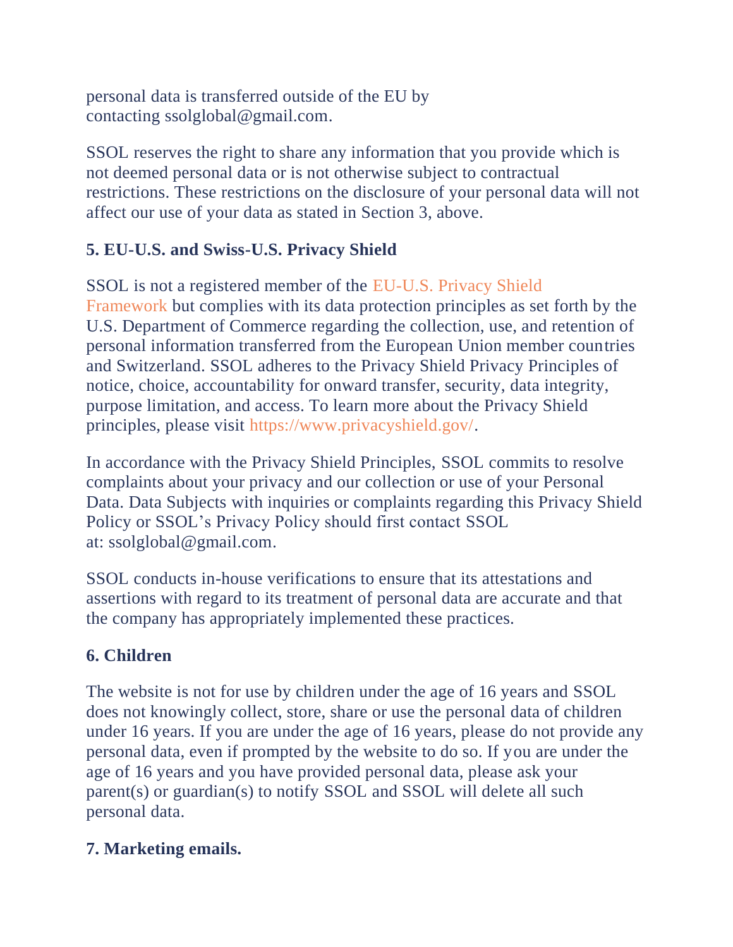personal data is transferred outside of the EU by contacting ssolglobal@gmail.com.

SSOL reserves the right to share any information that you provide which is not deemed personal data or is not otherwise subject to contractual restrictions. These restrictions on the disclosure of your personal data will not affect our use of your data as stated in Section 3, above.

# **5. EU-U.S. and Swiss-U.S. Privacy Shield**

SSOL is not a registered member of the [EU-U.S. Privacy Shield](https://www.privacyshield.gov/)  [Framework](https://www.privacyshield.gov/) but complies with its data protection principles as set forth by the U.S. Department of Commerce regarding the collection, use, and retention of personal information transferred from the European Union member countries and Switzerland. SSOL adheres to the Privacy Shield Privacy Principles of notice, choice, accountability for onward transfer, security, data integrity, purpose limitation, and access. To learn more about the Privacy Shield principles, please visit [https://www.privacyshield.gov/.](https://www.privacyshield.gov/)

In accordance with the Privacy Shield Principles, SSOL commits to resolve complaints about your privacy and our collection or use of your Personal Data. Data Subjects with inquiries or complaints regarding this Privacy Shield Policy or SSOL's Privacy Policy should first contact SSOL at: ssolglobal@gmail.com.

SSOL conducts in-house verifications to ensure that its attestations and assertions with regard to its treatment of personal data are accurate and that the company has appropriately implemented these practices.

# **6. Children**

The website is not for use by children under the age of 16 years and SSOL does not knowingly collect, store, share or use the personal data of children under 16 years. If you are under the age of 16 years, please do not provide any personal data, even if prompted by the website to do so. If you are under the age of 16 years and you have provided personal data, please ask your parent(s) or guardian(s) to notify SSOL and SSOL will delete all such personal data.

## **7. Marketing emails.**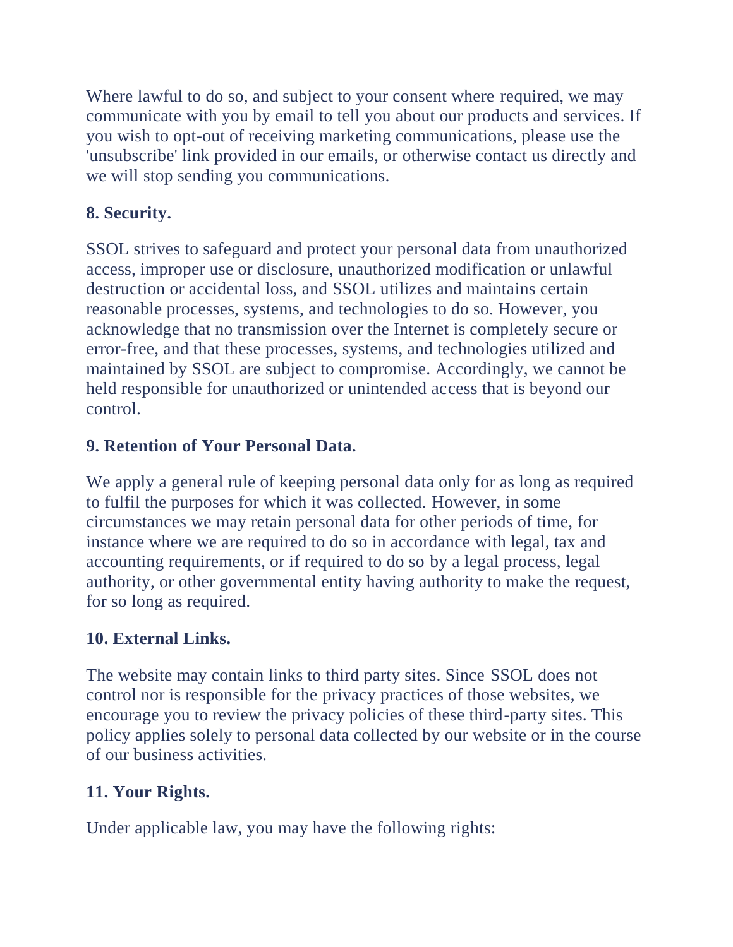Where lawful to do so, and subject to your consent where required, we may communicate with you by email to tell you about our products and services. If you wish to opt-out of receiving marketing communications, please use the 'unsubscribe' link provided in our emails, or otherwise contact us directly and we will stop sending you communications.

# **8. Security.**

SSOL strives to safeguard and protect your personal data from unauthorized access, improper use or disclosure, unauthorized modification or unlawful destruction or accidental loss, and SSOL utilizes and maintains certain reasonable processes, systems, and technologies to do so. However, you acknowledge that no transmission over the Internet is completely secure or error-free, and that these processes, systems, and technologies utilized and maintained by SSOL are subject to compromise. Accordingly, we cannot be held responsible for unauthorized or unintended access that is beyond our control.

# **9. Retention of Your Personal Data.**

We apply a general rule of keeping personal data only for as long as required to fulfil the purposes for which it was collected. However, in some circumstances we may retain personal data for other periods of time, for instance where we are required to do so in accordance with legal, tax and accounting requirements, or if required to do so by a legal process, legal authority, or other governmental entity having authority to make the request, for so long as required.

# **10. External Links.**

The website may contain links to third party sites. Since SSOL does not control nor is responsible for the privacy practices of those websites, we encourage you to review the privacy policies of these third-party sites. This policy applies solely to personal data collected by our website or in the course of our business activities.

# **11. Your Rights.**

Under applicable law, you may have the following rights: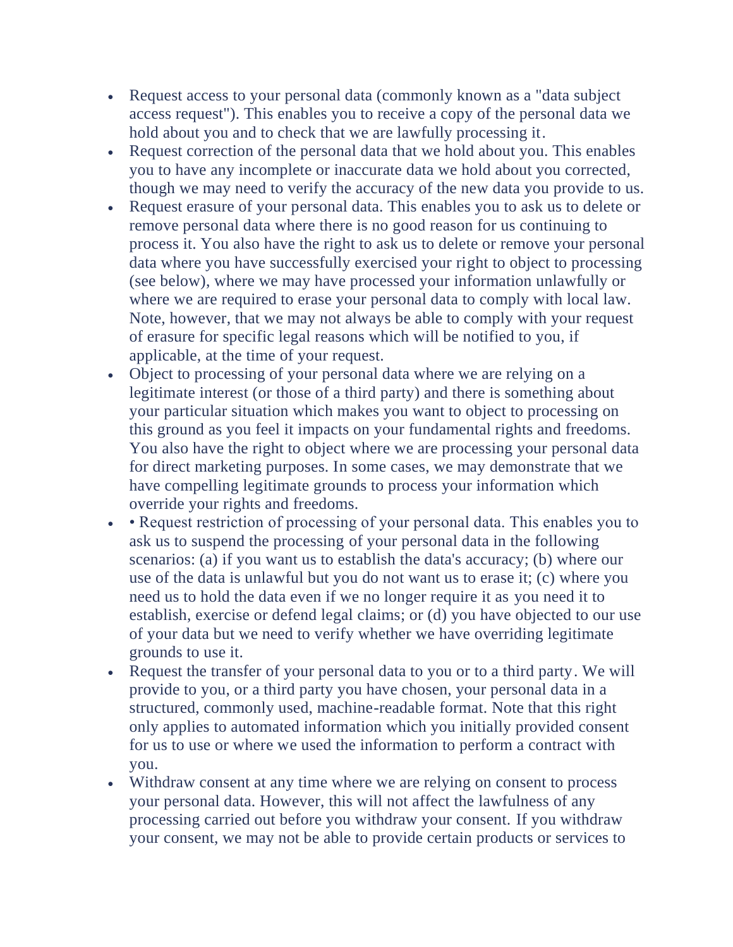- Request access to your personal data (commonly known as a "data subject access request"). This enables you to receive a copy of the personal data we hold about you and to check that we are lawfully processing it.
- Request correction of the personal data that we hold about you. This enables you to have any incomplete or inaccurate data we hold about you corrected, though we may need to verify the accuracy of the new data you provide to us.
- Request erasure of your personal data. This enables you to ask us to delete or remove personal data where there is no good reason for us continuing to process it. You also have the right to ask us to delete or remove your personal data where you have successfully exercised your right to object to processing (see below), where we may have processed your information unlawfully or where we are required to erase your personal data to comply with local law. Note, however, that we may not always be able to comply with your request of erasure for specific legal reasons which will be notified to you, if applicable, at the time of your request.
- Object to processing of your personal data where we are relying on a legitimate interest (or those of a third party) and there is something about your particular situation which makes you want to object to processing on this ground as you feel it impacts on your fundamental rights and freedoms. You also have the right to object where we are processing your personal data for direct marketing purposes. In some cases, we may demonstrate that we have compelling legitimate grounds to process your information which override your rights and freedoms.
- Request restriction of processing of your personal data. This enables you to ask us to suspend the processing of your personal data in the following scenarios: (a) if you want us to establish the data's accuracy; (b) where our use of the data is unlawful but you do not want us to erase it; (c) where you need us to hold the data even if we no longer require it as you need it to establish, exercise or defend legal claims; or (d) you have objected to our use of your data but we need to verify whether we have overriding legitimate grounds to use it.
- Request the transfer of your personal data to you or to a third party. We will provide to you, or a third party you have chosen, your personal data in a structured, commonly used, machine-readable format. Note that this right only applies to automated information which you initially provided consent for us to use or where we used the information to perform a contract with you.
- Withdraw consent at any time where we are relying on consent to process your personal data. However, this will not affect the lawfulness of any processing carried out before you withdraw your consent. If you withdraw your consent, we may not be able to provide certain products or services to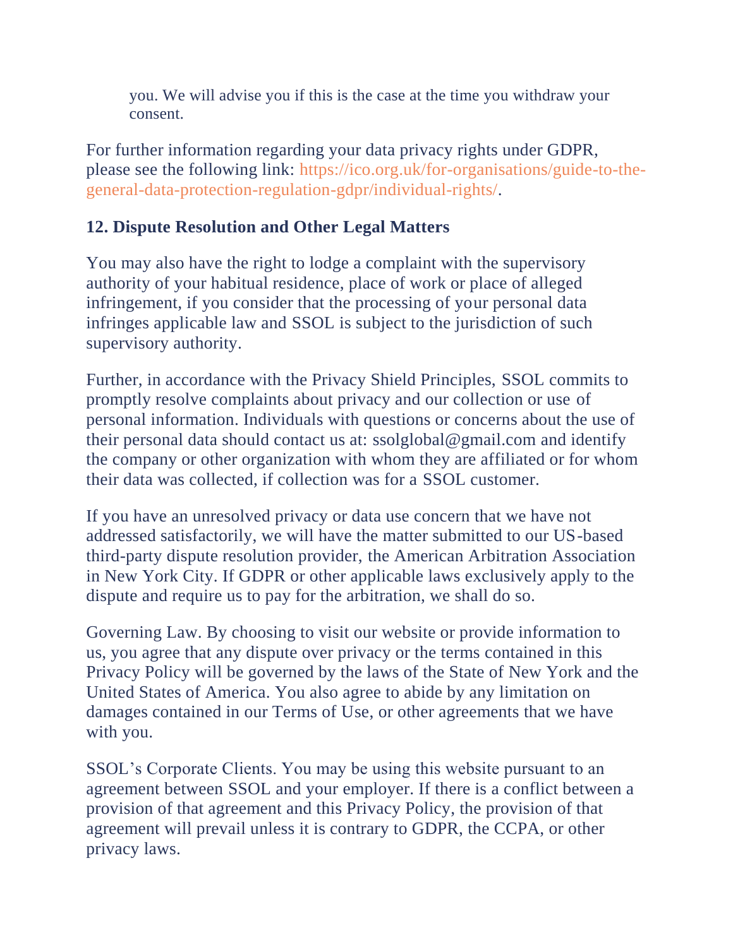you. We will advise you if this is the case at the time you withdraw your consent.

For further information regarding your data privacy rights under GDPR, please see the following link: [https://ico.org.uk/for-organisations/guide-to-the](https://ico.org.uk/for-organisations/guide-to-the-general-data-protection-regulation-gdpr/individual-rights/)[general-data-protection-regulation-gdpr/individual-rights/.](https://ico.org.uk/for-organisations/guide-to-the-general-data-protection-regulation-gdpr/individual-rights/)

## **12. Dispute Resolution and Other Legal Matters**

You may also have the right to lodge a complaint with the supervisory authority of your habitual residence, place of work or place of alleged infringement, if you consider that the processing of your personal data infringes applicable law and SSOL is subject to the jurisdiction of such supervisory authority.

Further, in accordance with the Privacy Shield Principles, SSOL commits to promptly resolve complaints about privacy and our collection or use of personal information. Individuals with questions or concerns about the use of their personal data should contact us at: ssolglobal@gmail.com and identify the company or other organization with whom they are affiliated or for whom their data was collected, if collection was for a SSOL customer.

If you have an unresolved privacy or data use concern that we have not addressed satisfactorily, we will have the matter submitted to our US-based third-party dispute resolution provider, the American Arbitration Association in New York City. If GDPR or other applicable laws exclusively apply to the dispute and require us to pay for the arbitration, we shall do so.

Governing Law. By choosing to visit our website or provide information to us, you agree that any dispute over privacy or the terms contained in this Privacy Policy will be governed by the laws of the State of New York and the United States of America. You also agree to abide by any limitation on damages contained in our Terms of Use, or other agreements that we have with you.

SSOL's Corporate Clients. You may be using this website pursuant to an agreement between SSOL and your employer. If there is a conflict between a provision of that agreement and this Privacy Policy, the provision of that agreement will prevail unless it is contrary to GDPR, the CCPA, or other privacy laws.